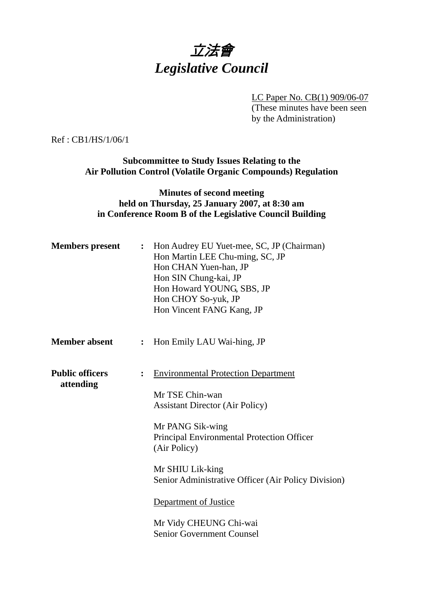## 立法會 *Legislative Council*

LC Paper No. CB(1) 909/06-07

(These minutes have been seen by the Administration)

Ref : CB1/HS/1/06/1

**Subcommittee to Study Issues Relating to the Air Pollution Control (Volatile Organic Compounds) Regulation** 

## **Minutes of second meeting held on Thursday, 25 January 2007, at 8:30 am in Conference Room B of the Legislative Council Building**

| <b>Members present</b>              |                              | : Hon Audrey EU Yuet-mee, SC, JP (Chairman)<br>Hon Martin LEE Chu-ming, SC, JP<br>Hon CHAN Yuen-han, JP<br>Hon SIN Chung-kai, JP<br>Hon Howard YOUNG, SBS, JP<br>Hon CHOY So-yuk, JP<br>Hon Vincent FANG Kang, JP                                                                                                       |
|-------------------------------------|------------------------------|-------------------------------------------------------------------------------------------------------------------------------------------------------------------------------------------------------------------------------------------------------------------------------------------------------------------------|
| <b>Member absent</b>                | $\ddot{\cdot}$               | Hon Emily LAU Wai-hing, JP                                                                                                                                                                                                                                                                                              |
| <b>Public officers</b><br>attending | $\overset{\bullet}{\bullet}$ | <b>Environmental Protection Department</b><br>Mr TSE Chin-wan<br><b>Assistant Director (Air Policy)</b><br>Mr PANG Sik-wing<br>Principal Environmental Protection Officer<br>(Air Policy)<br>Mr SHIU Lik-king<br>Senior Administrative Officer (Air Policy Division)<br>Department of Justice<br>Mr Vidy CHEUNG Chi-wai |
|                                     |                              | <b>Senior Government Counsel</b>                                                                                                                                                                                                                                                                                        |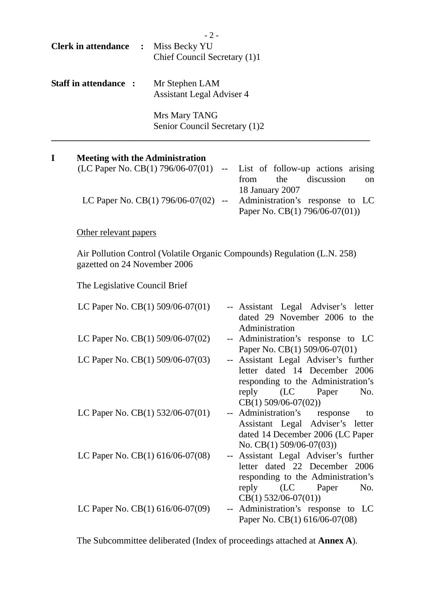|   | <b>Clerk in attendance :</b> Miss Becky YU | $-2-$<br>Chief Council Secretary (1)1              |                                                                                                                                                                                                   |
|---|--------------------------------------------|----------------------------------------------------|---------------------------------------------------------------------------------------------------------------------------------------------------------------------------------------------------|
|   | Staff in attendance :                      | Mr Stephen LAM<br><b>Assistant Legal Adviser 4</b> |                                                                                                                                                                                                   |
|   |                                            | Mrs Mary TANG<br>Senior Council Secretary (1)2     |                                                                                                                                                                                                   |
| I | <b>Meeting with the Administration</b>     | LC Paper No. CB(1) 796/06-07(02) --                | (LC Paper No. CB(1) 796/06-07(01) -- List of follow-up actions arising<br>discussion<br>the<br>from<br>on<br>18 January 2007<br>Administration's response to LC<br>Paper No. CB(1) 796/06-07(01)) |
|   | Other relevant papers                      |                                                    |                                                                                                                                                                                                   |
|   | gazetted on 24 November 2006               |                                                    | Air Pollution Control (Volatile Organic Compounds) Regulation (L.N. 258)                                                                                                                          |
|   | The Legislative Council Brief              |                                                    |                                                                                                                                                                                                   |
|   | LC Paper No. $CB(1)$ 509/06-07(01)         |                                                    | -- Assistant Legal Adviser's letter<br>dated 29 November 2006 to the<br>Administration                                                                                                            |
|   | LC Paper No. CB(1) 509/06-07(02)           |                                                    | -- Administration's response to LC<br>Paper No. CB(1) 509/06-07(01)                                                                                                                               |
|   | LC Paper No. CB(1) 509/06-07(03)           |                                                    | -- Assistant Legal Adviser's further<br>letter dated 14 December 2006<br>responding to the Administration's<br>reply (LC Paper<br>No.<br>$CB(1) 509/06-07(02))$                                   |
|   | LC Paper No. CB(1) 532/06-07(01)           |                                                    | -- Administration's response<br>to<br>Assistant Legal Adviser's letter<br>dated 14 December 2006 (LC Paper<br>No. CB $(1)$ 509/06-07 $(03)$ )                                                     |
|   | LC Paper No. CB(1) 616/06-07(08)           |                                                    | -- Assistant Legal Adviser's further<br>letter dated 22 December 2006<br>responding to the Administration's<br>reply<br>(LC)<br>Paper<br>No.                                                      |

CB(1) 532/06-07(01)) LC Paper No. CB(1) 616/06-07(09) -- Administration's response to LC Paper No. CB(1) 616/06-07(08)

The Subcommittee deliberated (Index of proceedings attached at **Annex A**).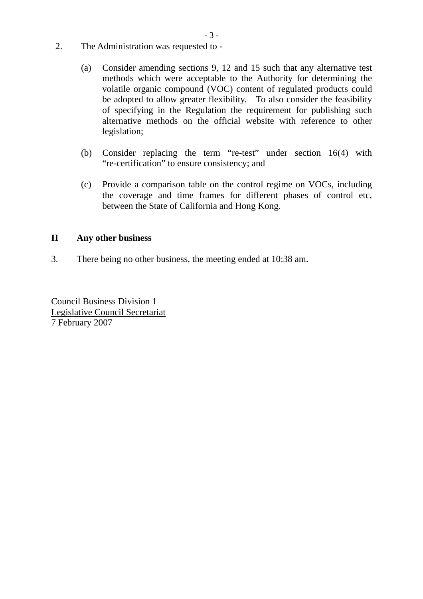- 2. The Administration was requested to
	- (a) Consider amending sections 9, 12 and 15 such that any alternative test methods which were acceptable to the Authority for determining the volatile organic compound (VOC) content of regulated products could be adopted to allow greater flexibility. To also consider the feasibility of specifying in the Regulation the requirement for publishing such alternative methods on the official website with reference to other legislation;
	- (b) Consider replacing the term "re-test" under section 16(4) with "re-certification" to ensure consistency; and
	- (c) Provide a comparison table on the control regime on VOCs, including the coverage and time frames for different phases of control etc, between the State of California and Hong Kong.

## **II Any other business**

3. There being no other business, the meeting ended at 10:38 am.

Council Business Division 1 Legislative Council Secretariat 7 February 2007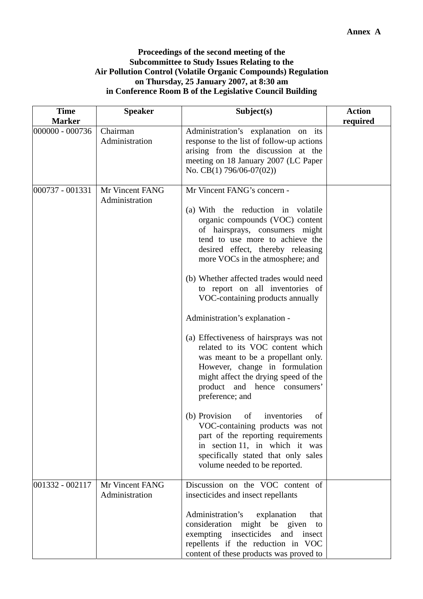## **Proceedings of the second meeting of the Subcommittee to Study Issues Relating to the Air Pollution Control (Volatile Organic Compounds) Regulation on Thursday, 25 January 2007, at 8:30 am in Conference Room B of the Legislative Council Building**

| <b>Time</b><br><b>Marker</b> | <b>Speaker</b>                    | Subject(s)                                                                                                                                                                                                                                                                                                                                                                                                                                                                                                                                                                                                                                                                                                                                                                                                                                                                             | <b>Action</b><br>required |
|------------------------------|-----------------------------------|----------------------------------------------------------------------------------------------------------------------------------------------------------------------------------------------------------------------------------------------------------------------------------------------------------------------------------------------------------------------------------------------------------------------------------------------------------------------------------------------------------------------------------------------------------------------------------------------------------------------------------------------------------------------------------------------------------------------------------------------------------------------------------------------------------------------------------------------------------------------------------------|---------------------------|
| 000000 - 000736              | Chairman<br>Administration        | Administration's explanation on its<br>response to the list of follow-up actions<br>arising from the discussion at the<br>meeting on 18 January 2007 (LC Paper<br>No. CB(1) $796/06-07(02)$ )                                                                                                                                                                                                                                                                                                                                                                                                                                                                                                                                                                                                                                                                                          |                           |
| 000737 - 001331              | Mr Vincent FANG<br>Administration | Mr Vincent FANG's concern -<br>(a) With the reduction in volatile<br>organic compounds (VOC) content<br>of hairsprays, consumers might<br>tend to use more to achieve the<br>desired effect, thereby releasing<br>more VOCs in the atmosphere; and<br>(b) Whether affected trades would need<br>to report on all inventories of<br>VOC-containing products annually<br>Administration's explanation -<br>(a) Effectiveness of hairsprays was not<br>related to its VOC content which<br>was meant to be a propellant only.<br>However, change in formulation<br>might affect the drying speed of the<br>product and hence consumers'<br>preference; and<br>(b) Provision<br>of<br>inventories<br>of<br>VOC-containing products was not<br>part of the reporting requirements<br>in section 11, in which it was<br>specifically stated that only sales<br>volume needed to be reported. |                           |
| 001332 - 002117              | Mr Vincent FANG<br>Administration | Discussion on the VOC content of<br>insecticides and insect repellants<br>Administration's<br>explanation<br>that<br>consideration<br>might be given<br>to<br>exempting insecticides<br>and<br>insect<br>repellents if the reduction in VOC<br>content of these products was proved to                                                                                                                                                                                                                                                                                                                                                                                                                                                                                                                                                                                                 |                           |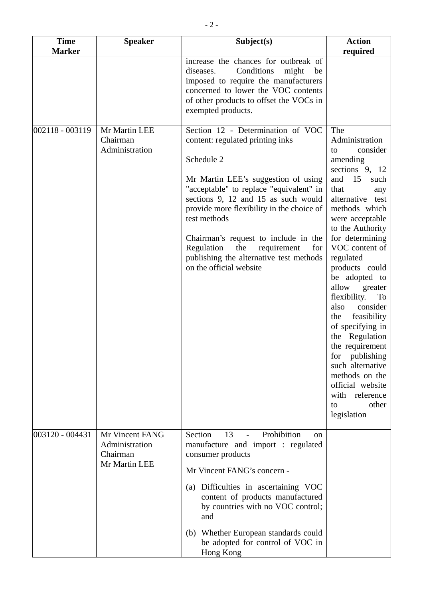| <b>Time</b><br><b>Marker</b> | <b>Speaker</b>                                                 | Subject(s)                                                                                                                                                                                                                                                                                                                                                | <b>Action</b>                                                                                                                                                                                                                                                                                                                                                                                                                                                                                                                 |
|------------------------------|----------------------------------------------------------------|-----------------------------------------------------------------------------------------------------------------------------------------------------------------------------------------------------------------------------------------------------------------------------------------------------------------------------------------------------------|-------------------------------------------------------------------------------------------------------------------------------------------------------------------------------------------------------------------------------------------------------------------------------------------------------------------------------------------------------------------------------------------------------------------------------------------------------------------------------------------------------------------------------|
| $ 002118 - 003119$           | Mr Martin LEE<br>Chairman                                      | increase the chances for outbreak of<br>Conditions<br>might<br>diseases.<br>be<br>imposed to require the manufacturers<br>concerned to lower the VOC contents<br>of other products to offset the VOCs in<br>exempted products.<br>Section 12 - Determination of VOC<br>content: regulated printing inks                                                   | required<br>The<br>Administration                                                                                                                                                                                                                                                                                                                                                                                                                                                                                             |
|                              | Administration                                                 | Schedule 2<br>Mr Martin LEE's suggestion of using<br>"acceptable" to replace "equivalent" in<br>sections 9, 12 and 15 as such would<br>provide more flexibility in the choice of<br>test methods<br>Chairman's request to include in the<br>the<br>Regulation<br>requirement<br>for<br>publishing the alternative test methods<br>on the official website | consider<br>to<br>amending<br>sections 9, 12<br>15<br>and<br>such<br>that<br>any<br>alternative test<br>methods which<br>were acceptable<br>to the Authority<br>for determining<br>VOC content of<br>regulated<br>products could<br>be adopted to<br>allow<br>greater<br>flexibility.<br>To<br>consider<br>also<br>feasibility<br>the<br>of specifying in<br>the Regulation<br>the requirement<br>for<br>publishing<br>such alternative<br>methods on the<br>official website<br>with reference<br>other<br>to<br>legislation |
| 003120 - 004431              | Mr Vincent FANG<br>Administration<br>Chairman<br>Mr Martin LEE | Prohibition<br>Section<br>13<br>$\blacksquare$<br>on<br>manufacture and import : regulated<br>consumer products<br>Mr Vincent FANG's concern -                                                                                                                                                                                                            |                                                                                                                                                                                                                                                                                                                                                                                                                                                                                                                               |
|                              |                                                                | (a) Difficulties in ascertaining VOC<br>content of products manufactured<br>by countries with no VOC control;<br>and                                                                                                                                                                                                                                      |                                                                                                                                                                                                                                                                                                                                                                                                                                                                                                                               |
|                              |                                                                | (b) Whether European standards could<br>be adopted for control of VOC in<br>Hong Kong                                                                                                                                                                                                                                                                     |                                                                                                                                                                                                                                                                                                                                                                                                                                                                                                                               |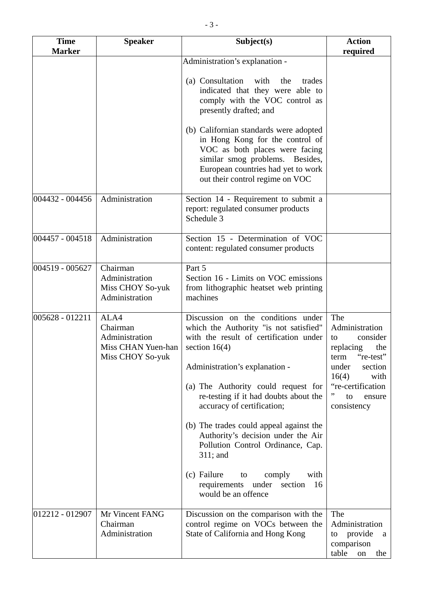| <b>Time</b><br><b>Speaker</b><br><b>Marker</b> |                                                                              | Subject(s)                                                                                                                                                                                                                                                                                                                                                                                                                                                                                                                             | <b>Action</b><br>required                                                                                                                                                      |
|------------------------------------------------|------------------------------------------------------------------------------|----------------------------------------------------------------------------------------------------------------------------------------------------------------------------------------------------------------------------------------------------------------------------------------------------------------------------------------------------------------------------------------------------------------------------------------------------------------------------------------------------------------------------------------|--------------------------------------------------------------------------------------------------------------------------------------------------------------------------------|
|                                                |                                                                              | Administration's explanation -<br>(a) Consultation<br>with<br>the<br>trades<br>indicated that they were able to<br>comply with the VOC control as<br>presently drafted; and<br>(b) Californian standards were adopted<br>in Hong Kong for the control of<br>VOC as both places were facing<br>similar smog problems. Besides,<br>European countries had yet to work<br>out their control regime on VOC                                                                                                                                 |                                                                                                                                                                                |
| 004432 - 004456                                | Administration                                                               | Section 14 - Requirement to submit a<br>report: regulated consumer products<br>Schedule 3                                                                                                                                                                                                                                                                                                                                                                                                                                              |                                                                                                                                                                                |
| 004457 - 004518                                | Administration                                                               | Section 15 - Determination of VOC<br>content: regulated consumer products                                                                                                                                                                                                                                                                                                                                                                                                                                                              |                                                                                                                                                                                |
| 004519 - 005627                                | Chairman<br>Administration<br>Miss CHOY So-yuk<br>Administration             | Part 5<br>Section 16 - Limits on VOC emissions<br>from lithographic heatset web printing<br>machines                                                                                                                                                                                                                                                                                                                                                                                                                                   |                                                                                                                                                                                |
| 005628 - 012211                                | ALA4<br>Chairman<br>Administration<br>Miss CHAN Yuen-han<br>Miss CHOY So-yuk | Discussion on the conditions under<br>which the Authority "is not satisfied"<br>with the result of certification under<br>section $16(4)$<br>Administration's explanation -<br>(a) The Authority could request for<br>re-testing if it had doubts about the<br>accuracy of certification;<br>(b) The trades could appeal against the<br>Authority's decision under the Air<br>Pollution Control Ordinance, Cap.<br>$311$ ; and<br>(c) Failure<br>comply<br>with<br>to<br>requirements<br>under<br>section<br>16<br>would be an offence | The<br>Administration<br>consider<br>to<br>replacing<br>the<br>"re-test"<br>term<br>under<br>section<br>with<br>16(4)<br>"re-certification<br>"<br>to<br>ensure<br>consistency |
| 012212 - 012907                                | Mr Vincent FANG<br>Chairman<br>Administration                                | Discussion on the comparison with the<br>control regime on VOCs between the<br>State of California and Hong Kong                                                                                                                                                                                                                                                                                                                                                                                                                       | The<br>Administration<br>provide<br>to<br>a<br>comparison<br>table<br>the<br>on                                                                                                |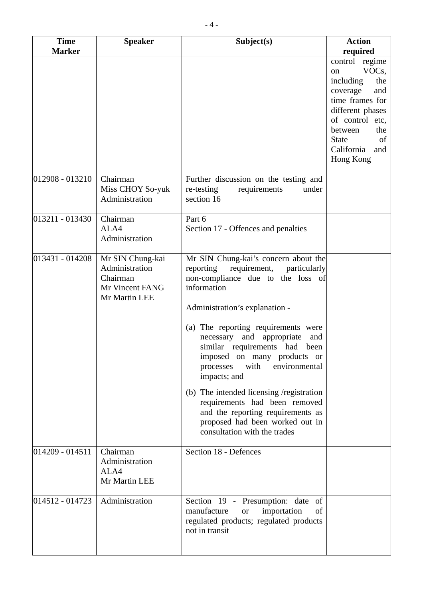| <b>Time</b>         | <b>Speaker</b>                                                                     | Subject(s)                                                                                                                                                                                                                                                                                                                                                                                                                                                                                                                                              | <b>Action</b>                                                                                                                                                                                                         |
|---------------------|------------------------------------------------------------------------------------|---------------------------------------------------------------------------------------------------------------------------------------------------------------------------------------------------------------------------------------------------------------------------------------------------------------------------------------------------------------------------------------------------------------------------------------------------------------------------------------------------------------------------------------------------------|-----------------------------------------------------------------------------------------------------------------------------------------------------------------------------------------------------------------------|
| <b>Marker</b>       |                                                                                    |                                                                                                                                                                                                                                                                                                                                                                                                                                                                                                                                                         | required                                                                                                                                                                                                              |
|                     |                                                                                    |                                                                                                                                                                                                                                                                                                                                                                                                                                                                                                                                                         | control regime<br>VOC <sub>s</sub> ,<br>on<br>including<br>the<br>coverage<br>and<br>time frames for<br>different phases<br>of control etc,<br>between<br>the<br><b>State</b><br>of<br>California<br>and<br>Hong Kong |
| 012908 - 013210     | Chairman<br>Miss CHOY So-yuk<br>Administration                                     | Further discussion on the testing and<br>re-testing<br>requirements<br>under<br>section 16                                                                                                                                                                                                                                                                                                                                                                                                                                                              |                                                                                                                                                                                                                       |
| $013211 - 013430$   | Chairman<br>ALA4<br>Administration                                                 | Part 6<br>Section 17 - Offences and penalties                                                                                                                                                                                                                                                                                                                                                                                                                                                                                                           |                                                                                                                                                                                                                       |
| 013431 - 014208     | Mr SIN Chung-kai<br>Administration<br>Chairman<br>Mr Vincent FANG<br>Mr Martin LEE | Mr SIN Chung-kai's concern about the<br>reporting requirement, particularly<br>non-compliance due to the loss of<br>information<br>Administration's explanation -<br>(a) The reporting requirements were<br>necessary and appropriate<br>and<br>similar requirements had been<br>imposed on many products or<br>with<br>environmental<br>processes<br>impacts; and<br>(b) The intended licensing /registration<br>requirements had been removed<br>and the reporting requirements as<br>proposed had been worked out in<br>consultation with the trades |                                                                                                                                                                                                                       |
| $014209 - 014511$   | Chairman<br>Administration<br>ALA4<br>Mr Martin LEE                                | Section 18 - Defences                                                                                                                                                                                                                                                                                                                                                                                                                                                                                                                                   |                                                                                                                                                                                                                       |
| $ 014512 - 014723 $ | Administration                                                                     | Section 19 - Presumption: date<br>of<br>manufacture<br>importation<br>of<br><b>or</b><br>regulated products; regulated products<br>not in transit                                                                                                                                                                                                                                                                                                                                                                                                       |                                                                                                                                                                                                                       |